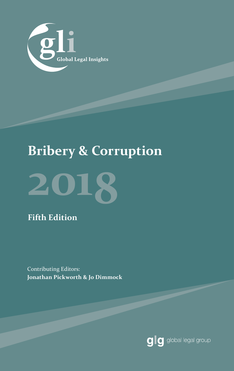

## **Bribery & Corruption**



**Fifth Edition**

Contributing Editors: **Jonathan Pickworth & Jo Dimmock**

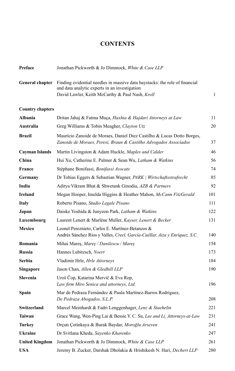#### **CONTENTS**

| Preface                 | Jonathan Pickworth & Jo Dimmock, White & Case LLP                                                                                                                               |     |
|-------------------------|---------------------------------------------------------------------------------------------------------------------------------------------------------------------------------|-----|
| General chapter         | Finding evidential needles in massive data haystacks: the role of financial<br>and data analytic experts in an investigation<br>David Lawler, Keith McCarthy & Paul Nash, Kroll | 1   |
| <b>Country chapters</b> |                                                                                                                                                                                 |     |
| <b>Albania</b>          | Dritan Jahaj & Fatma Muça, Haxhia & Hajdari Attorneys at Law                                                                                                                    | 11  |
| Australia               | Greg Williams & Tobin Meagher, Clayton Utz                                                                                                                                      | 20  |
| <b>Brazil</b>           | Maurício Zanoide de Moraes, Daniel Diez Castilho & Lucas Dotto Borges,<br>Zanoide de Moraes, Peresi, Braun & Castilho Advogados Associados                                      | 37  |
| <b>Cayman Islands</b>   | Martin Livingston & Adam Huckle, Maples and Calder                                                                                                                              | 46  |
| China                   | Hui Xu, Catherine E. Palmer & Sean Wu, Latham & Watkins                                                                                                                         | 56  |
| <b>France</b>           | Stéphane Bonifassi, Bonifassi Avocats                                                                                                                                           | 74  |
| Germany                 | Dr Tobias Eggers & Sebastian Wagner, PARK   Wirtschaftsstrafrecht                                                                                                               | 85  |
| India                   | Aditya Vikram Bhat & Shwetank Ginodia, AZB & Partners                                                                                                                           | 92  |
| <b>Ireland</b>          | Megan Hooper, Imelda Higgins & Heather Mahon, McCann FitzGerald                                                                                                                 | 101 |
| <b>Italy</b>            | Roberto Pisano, Studio Legale Pisano                                                                                                                                            | 111 |
| Japan                   | Daiske Yoshida & Junyeon Park, Latham & Watkins                                                                                                                                 | 122 |
| Luxembourg              | Laurent Lenert & Marlène Muller, Kayser, Lenert & Becker                                                                                                                        | 131 |
| <b>Mexico</b>           | Leonel Pereznieto, Carlos E. Martínez-Betanzos &<br>Andrés Sánchez Ríos y Valles, Creel, García-Cuéllar, Aiza y Enríquez, S.C.                                                  | 140 |
| Romania                 | Mihai Mareş, Mareş / Danilescu / Mareş                                                                                                                                          | 154 |
| <b>Russia</b>           | Hannes Lubitzsch, Noerr                                                                                                                                                         | 173 |
| <b>Serbia</b>           | Vladimir Hrle, Hrle Attorneys                                                                                                                                                   | 184 |
| Singapore               | Jason Chan, Allen & Gledhill LLP                                                                                                                                                | 190 |
| Slovenia                | Uroš Čop, Katarina Mervič & Eva Rop,<br>Law firm Miro Senica and attorneys, Ltd.                                                                                                | 196 |
| Spain                   | Mar de Pedraza Fernández & Paula Martínez-Barros Rodríguez,<br>De Pedraza Abogados, S.L.P.                                                                                      | 208 |
| Switzerland             | Marcel Meinhardt & Fadri Lenggenhager, Lenz & Staehelin                                                                                                                         | 221 |
| <b>Taiwan</b>           | Grace Wang, Wen-Ping Lai & Bessie Y. C. Su, Lee and Li, Attorneys-at-Law                                                                                                        | 231 |
| <b>Turkey</b>           | Orçun Çetinkaya & Burak Baydar, Moroğlu Arseven                                                                                                                                 | 241 |
| <b>Ukraine</b>          | Dr Svitlana Kheda, Sayenko Kharenko                                                                                                                                             | 247 |
| <b>United Kingdom</b>   | Jonathan Pickworth & Jo Dimmock, White & Case LLP                                                                                                                               | 261 |
| <b>USA</b>              | Jeremy B. Zucker, Darshak Dholakia & Hrishikesh N. Hari, Dechert LLP                                                                                                            | 280 |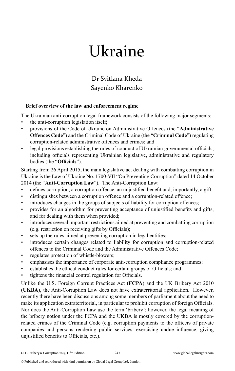# Ukraine

Dr Svitlana Kheda Sayenko Kharenko

#### **Brief overview of the law and enforcement regime**

The Ukrainian anti-corruption legal framework consists of the following major segments: • the anti-corruption legislation itself;

- provisions of the Code of Ukraine on Administrative Offences (the "**Administrative Offences Code**") and the Criminal Code of Ukraine (the "**Criminal Code**") regulating corruption-related administrative offences and crimes; and
- legal provisions establishing the rules of conduct of Ukrainian governmental officials, including officials representing Ukrainian legislative, administrative and regulatory bodies (the "**Officials**").

Starting from 26 April 2015, the main legislative act dealing with combatting corruption in Ukraine is the Law of Ukraine No. 1700-VII "On Preventing Corruption" dated 14 October 2014 (the "**Anti-Corruption Law**"). The Anti-Corruption Law:

- defines corruption, a corruption offence, an unjustified benefit and, importantly, a gift;
- distinguishes between a corruption offence and a corruption-related offence;
- introduces changes in the groups of subjects of liability for corruption offences;
- provides for an algorithm for preventing acceptance of unjustified benefits and gifts, and for dealing with them when provided;
- introduces several important restrictions aimed at preventing and combatting corruption (e.g. restriction on receiving gifts by Officials);
- sets up the rules aimed at preventing corruption in legal entities;
- introduces certain changes related to liability for corruption and corruption-related offences to the Criminal Code and the Administrative Offences Code;
- regulates protection of whistle-blowers;
- emphasises the importance of corporate anti-corruption compliance programmes;
- establishes the ethical conduct rules for certain groups of Officials; and
- tightens the financial control regulation for Officials.

Unlike the U.S. Foreign Corrupt Practices Act (**FCPA**) and the UK Bribery Act 2010 (**UKBA**), the Anti-Corruption Law does not have extraterritorial application. However, recently there have been discussions among some members of parliament about the need to make its application extraterritorial, in particular to prohibit corruption of foreign Officials. Nor does the Anti-Corruption Law use the term 'bribery'; however, the legal meaning of the bribery notion under the FCPA and the UKBA is mostly covered by the corruptionrelated crimes of the Criminal Code (e.g. corruption payments to the officers of private companies and persons rendering public services, exercising undue influence, giving unjustified benefits to Officials, etc.).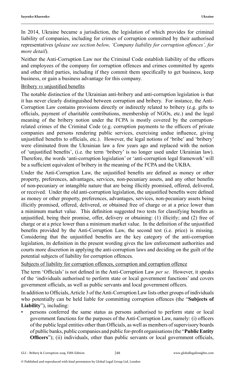In 2014, Ukraine became a jurisdiction, the legislation of which provides for criminal liability of companies, including for crimes of corruption committed by their authorised representatives (*please see section below, 'Company liability for corruption offences', for more detail*).

Neither the Anti-Corruption Law nor the Criminal Code establish liability of the officers and employees of the company for corruption offences and crimes committed by agents and other third parties, including if they commit them specifically to get business, keep business, or gain a business advantage for this company.

#### Bribery *vs* unjustified benefits

The notable distinction of the Ukrainian anti-bribery and anti-corruption legislation is that it has never clearly distinguished between corruption and bribery. For instance, the Anti-Corruption Law contains provisions directly or indirectly related to bribery (e.g. gifts to officials, payment of charitable contributions, membership of NGOs, etc.) and the legal meaning of the bribery notion under the FCPA is mostly covered by the corruptionrelated crimes of the Criminal Code (e.g. corruption payments to the officers of private companies and persons rendering public services, exercising undue influence, giving unjustified benefits to officials, etc.). However, the legal notions of 'bribe' and 'bribery' were eliminated from the Ukrainian law a few years ago and replaced with the notion of 'unjustified benefits', (i.e. the term 'bribery' is no longer used under Ukrainian law). Therefore, the words 'anti-corruption legislation' or 'anti-corruption legal framework' will be a sufficient equivalent of bribery in the meaning of the FCPA and the UKBA.

Under the Anti-Corruption Law, the unjustified benefits are defined as money or other property, preferences, advantages, services, non-pecuniary assets, and any other benefits of non-pecuniary or intangible nature that are being illicitly promised, offered, delivered, or received. Under the old anti-corruption legislation, the unjustified benefits were defined as money or other property, preferences, advantages, services, non-pecuniary assets being illicitly promised, offered, delivered, or obtained free of charge or at a price lower than a minimum market value. This definition suggested two tests for classifying benefits as unjustified, being their promise, offer, delivery or obtaining: (1) illicitly; and (2) free of charge or at a price lower than a minimum market value. In the definition of the unjustified benefits provided by the Anti-Corruption Law, the second test (i.e. price) is missing. Considering that the unjustified benefits are the key category of the anti-corruption legislation, its definition in the present wording gives the law enforcement authorities and courts more discretion in applying the anti-corruption laws and deciding on the guilt of the potential subjects of liability for corruption offences.

Subjects of liability for corruption offences, corruption and corruption offence

The term 'Officials' is not defined in the Anti-Corruption Law *per se*. However, it speaks of the 'individuals authorised to perform state or local government functions' and covers government officials, as well as public servants and local government officers.

In addition to Officials, Article 3 of the Anti-Corruption Law lists other groups of individuals who potentially can be held liable for committing corruption offences (the "**Subjects of Liability**"), including:

• persons conferred the same status as persons authorised to perform state or local government functions for the purposes of the Anti-Corruption Law, namely: (i) officers of the public legal entities other than Officials, as well as members of supervisory boards of public banks, public companies and public for-profit organisations (the "**Public Entity Officers**"); (ii) individuals, other than public servants or local government officials,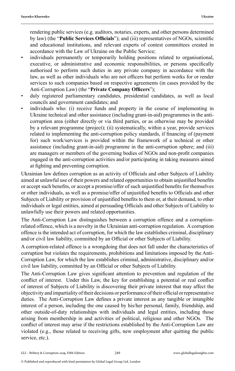rendering public services (e.g. auditors, notaries, experts, and other persons determined by law) (the "**Public Services Officials**"); and (iii) representatives of NGOs, scientific and educational institutions, and relevant experts of contest committees created in accordance with the Law of Ukraine on the Public Service;

- individuals permanently or temporarily holding positions related to organisational, executive, or administrative and economic responsibilities, or persons specifically authorised to perform such duties in any private company in accordance with the law, as well as other individuals who are not officers but perform works for or render services to such companies based on respective agreements (in cases provided by the Anti-Corruption Law) (the "**Private Company Officers**");
- duly registered parliamentary candidates, presidential candidates, as well as local councils and government candidates; and
- individuals who: (i) receive funds and property in the course of implementing in Ukraine technical and other assistance (including grant-in-aid) programmes in the anticorruption area (either directly or via third parties, or as otherwise may be provided by a relevant programme (project); (ii) systematically, within a year, provide services related to implementing the anti-corruption policy standards, if financing of (payment for) such work/services is provided within the framework of a technical or other assistance (including grant-in-aid) programme in the anti-corruption sphere; and (iii) are managers or members of the governing bodies of NGOs and non-profit companies engaged in the anti-corruption activities and/or participating in taking measures aimed at fighting and preventing corruption.

Ukrainian law defines corruption as an activity of Officials and other Subjects of Liability aimed at unlawful use of their powers and related opportunities to obtain unjustified benefits or accept such benefits, or accept a promise/offer of such unjustified benefits for themselves or other individuals, as well as a promise/offer of unjustified benefits to Officials and other Subjects of Liability or provision of unjustified benefits to them or, at their demand, to other individuals or legal entities, aimed at persuading Officials and other Subjects of Liability to unlawfully use their powers and related opportunities.

The Anti-Corruption Law distinguishes between a corruption offence and a corruptionrelated offence, which is a novelty in the Ukrainian anti-corruption regulation. A corruption offence is the intended act of corruption, for which the law establishes criminal, disciplinary and/or civil law liability, committed by an Official or other Subjects of Liability.

A corruption-related offence is a wrongdoing that does not fall under the characteristics of corruption but violates the requirements, prohibitions and limitations imposed by the Anti-Corruption Law, for which the law establishes criminal, administrative, disciplinary and/or civil law liability, committed by an Official or other Subjects of Liability.

The Anti-Corruption Law gives significant attention to prevention and regulation of the conflict of interest. Under this Law, the key for establishing a potential or real conflict of interest of Subjects of Liability is discovering their private interest that may affect the objectivity and impartiality of their decisions or performance of their official or representative duties. The Anti-Corruption Law defines a private interest as any tangible or intangible interest of a person, including the one caused by his/her personal, family, friendship, and other outside-of-duty relationships with individuals and legal entities, including those arising from membership in and activities of political, religious and other NGOs. The conflict of interest may arise if the restrictions established by the Anti-Corruption Law are violated (e.g., those related to receiving gifts, new employment after quitting the public service, etc.).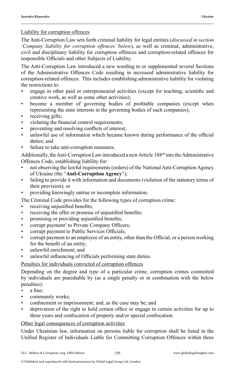#### Liability for corruption offences

The Anti-Corruption Law sets forth criminal liability for legal entities (*discussed in section 'Company liability for corruption offences' below*), as well as criminal, administrative, civil and disciplinary liability for corruption offences and corruption-related offences for responsible Officials and other Subjects of Liability.

The Anti-Corruption Law introduced a new wording to or supplemented several Sections of the Administrative Offences Code resulting in increased administrative liability for corruption-related offences. This includes establishing administrative liability for violating the restrictions to:

- engage in other paid or entrepreneurial activities (except for teaching, scientific and creative work, as well as some other activities);
- become a member of governing bodies of profitable companies (except when representing the state interests in the governing bodies of such companies);
- receiving gifts;
- violating the financial control requirements;
- preventing and resolving conflicts of interest;
- unlawful use of information which became known during performance of the official duties; and
- failure to take anti-corruption measures.

Additionally, the Anti-Corruption Law introduced a new Article 18846 into the Administrative Offences Code, establishing liability for:

- not observing the lawful requirements (orders) of the National Anti-Corruption Agency of Ukraine (the "**Anti-Corruption Agency**");
- failing to provide it with information and documents (violation of the statutory terms of their provision); or
- providing knowingly untrue or incomplete information.
- The Criminal Code provides for the following types of corruption crime:
- receiving unjustified benefits;
- receiving the offer or promise of unjustified benefits;
- promising or providing unjustified benefits;
- corrupt payment<sup>1</sup> to Private Company Officers;
- corrupt payment to Public Services Officials;
- corrupt payment to an employee of an entity, other than the Official, or a person working for the benefit of an entity;
- unlawful enrichment; and
- unlawful influencing of Officials performing state duties.

#### Penalties for individuals convicted of corruption offences

Depending on the degree and type of a particular crime, corruption crimes committed by individuals are punishable by (as a single penalty or in combination with the below penalties):

- a fine;
- community works;
- confinement or imprisonment; and, as the case may be; and
- deprivation of the right to hold certain office or engage in certain activities for up to three years and confiscation of property and/or special confiscation.

#### Other legal consequences of corruption activities

Under Ukrainian law, information on persons liable for corruption shall be listed in the Unified Register of Individuals Liable for Committing Corruption Offences within three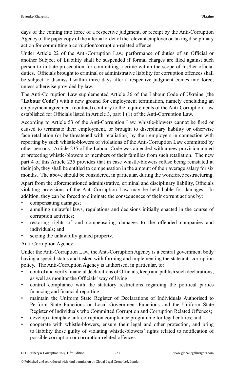days of the coming into force of a respective judgment, or receipt by the Anti-Corruption Agency of the paper copy of the internal order of the relevant employer on taking disciplinary action for committing a corruption/corruption-related offence.

Under Article 22 of the Anti-Corruption Law, performance of duties of an Official or another Subject of Liability shall be suspended if formal charges are filed against such person to initiate prosecution for committing a crime within the scope of his/her official duties. Officials brought to criminal or administrative liability for corruption offences shall be subject to dismissal within three days after a respective judgment comes into force, unless otherwise provided by law.

The Anti-Corruption Law supplemented Article 36 of the Labour Code of Ukraine (the "**Labour Code**") with a new ground for employment termination, namely concluding an employment agreement (contract) contrary to the requirements of the Anti-Corruption Law established for Officials listed in Article 3, part 1 (1) of the Anti-Corruption Law.

According to Article 53 of the Anti-Corruption Law, whistle-blowers cannot be fired or caused to terminate their employment, or brought to disciplinary liability or otherwise face retaliation (or be threatened with retaliation) by their employers in connection with reporting by such whistle-blowers of violations of the Anti-Corruption Law committed by other persons. Article 235 of the Labour Code was amended with a new provision aimed at protecting whistle-blowers or members of their families from such retaliation. The new part 4 of this Article 235 provides that in case whistle-blowers refuse being reinstated at their job, they shall be entitled to compensation in the amount of their average salary for six months. The above should be considered, in particular, during the workforce restructuring.

Apart from the aforementioned administrative, criminal and disciplinary liability, Officials violating provisions of the Anti-Corruption Law may be held liable for damages. In addition, they can be forced to eliminate the consequences of their corrupt actions by:

- compensating damages;
- annulling unlawful laws, regulations and decisions initially enacted in the course of corruption activities;
- restoring rights of and compensating damages to the offended companies and individuals; and
- seizing the unlawfully gained property.

#### Anti-Corruption Agency

Under the Anti-Corruption Law, the Anti-Corruption Agency is a central government body having a special status and tasked with forming and implementing the state anti-corruption policy. The Anti-Corruption Agency is authorised, in particular, to:

- control and verify financial declarations of Officials, keep and publish such declarations, as well as monitor the Officials' way of living;
- control compliance with the statutory restrictions regarding the political parties financing and financial reporting;
- maintain the Uniform State Register of Declarations of Individuals Authorised to Perform State Functions or Local Government Functions and the Uniform State Register of Individuals who Committed Corruption and Corruption Related Offences;
- develop a template anti-corruption compliance programme for legal entities; and
- cooperate with whistle-blowers, ensure their legal and other protection, and bring to liability those guilty of violating whistle-blowers' rights related to notification of possible corruption or corruption-related offences.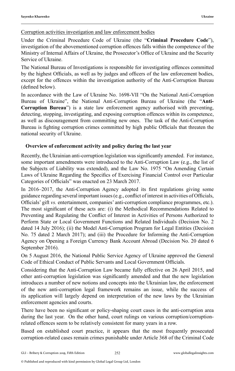Under the Criminal Procedure Code of Ukraine (the "**Criminal Procedure Code**"), investigation of the abovementioned corruption offences falls within the competence of the Ministry of Internal Affairs of Ukraine, the Prosecutor's Office of Ukraine and the Security Service of Ukraine.

The National Bureau of Investigations is responsible for investigating offences committed by the highest Officials, as well as by judges and officers of the law enforcement bodies, except for the offences within the investigation authority of the Anti-Corruption Bureau (defined below).

In accordance with the Law of Ukraine No. 1698-VII "On the National Anti-Corruption Bureau of Ukraine", the National Anti-Corruption Bureau of Ukraine (the "**Anti-Corruption Bureau**") is a state law enforcement agency authorised with preventing, detecting, stopping, investigating, and exposing corruption offences within its competence, as well as discouragement from committing new ones. The task of the Anti-Corruption Bureau is fighting corruption crimes committed by high public Officials that threaten the national security of Ukraine.

#### **Overview of enforcement activity and policy during the last year**

Recently, the Ukrainian anti-corruption legislation was significantly amended. For instance, some important amendments were introduced to the Anti-Corruption Law (e.g., the list of the Subjects of Liability was extended), and the Law No. 1975 "On Amending Certain Laws of Ukraine Regarding the Specifics of Exercising Financial Control over Particular Categories of Officials" was enacted on 23 March 2017.

In 2016–2017, the Anti-Corruption Agency adopted its first regulations giving some guidance regarding several important issues (e.g., conflict of interest in activities of Officials, Officials' gift *vs.* entertainment, companies' anti-corruption compliance programmes, etc.). The most significant of these acts are: (i) the Methodical Recommendations Related to Preventing and Regulating the Conflict of Interest in Activities of Persons Authorized to Perform State or Local Government Functions and Related Individuals (Decision No. 2 dated 14 July 2016); (ii) the Model Anti-Corruption Program for Legal Entities (Decision No. 75 dated 2 March 2017); and (iii) the Procedure for Informing the Anti-Corruption Agency on Opening a Foreign Currency Bank Account Abroad (Decision No. 20 dated 6 September 2016).

On 5 August 2016, the National Public Service Agency of Ukraine approved the General Code of Ethical Conduct of Public Servants and Local Government Officials.

Considering that the Anti-Corruption Law became fully effective on 26 April 2015, and other anti-corruption legislation was significantly amended and that the new legislation introduces a number of new notions and concepts into the Ukrainian law, the enforcement of the new anti-corruption legal framework remains an issue, while the success of its application will largely depend on interpretation of the new laws by the Ukrainian enforcement agencies and courts.

There have been no significant or policy-shaping court cases in the anti-corruption area during the last year. On the other hand, court rulings on various corruption/corruptionrelated offences seem to be relatively consistent for many years in a row.

Based on established court practice, it appears that the most frequently prosecuted corruption-related cases remain crimes punishable under Article 368 of the Criminal Code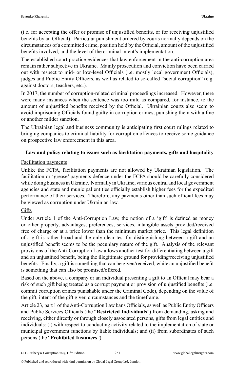(i.e. for accepting the offer or promise of unjustified benefits, or for receiving unjustified benefits by an Official). Particular punishment ordered by courts normally depends on the circumstances of a committed crime, position held by the Official, amount of the unjustified benefits involved, and the level of the criminal intent's implementation.

The established court practice evidences that law enforcement in the anti-corruption area remain rather subjective in Ukraine. Mainly prosecution and conviction have been carried out with respect to mid- or low-level Officials (i.e. mostly local government Officials), judges and Public Entity Officers, as well as related to so-called "social corruption" (e.g. against doctors, teachers, etc.).

In 2017, the number of corruption-related criminal proceedings increased. However, there were many instances when the sentence was too mild as compared, for instance, to the amount of unjustified benefits received by the Official. Ukrainian courts also seem to avoid imprisoning Officials found guilty in corruption crimes, punishing them with a fine or another milder sanction.

The Ukrainian legal and business community is anticipating first court rulings related to bringing companies to criminal liability for corruption offences to receive some guidance on prospective law enforcement in this area.

#### **Law and policy relating to issues such as facilitation payments, gifts and hospitality**

#### Facilitation payments

Unlike the FCPA, facilitation payments are not allowed by Ukrainian legislation. The facilitation or 'grease' payments defence under the FCPA should be carefully considered while doing business in Ukraine. Normally in Ukraine, various central and local government agencies and state and municipal entities officially establish higher fees for the expedited performance of their services. Therefore, any payments other than such official fees may be viewed as corruption under Ukrainian law.

#### Gifts

Under Article 1 of the Anti-Corruption Law, the notion of a 'gift' is defined as money or other property, advantages, preferences, services, intangible assets provided/received free of charge or at a price lower than the minimum market price. This legal definition of a gift is rather broad and the only clear test for distinguishing between a gift and an unjustified benefit seems to be the pecuniary nature of the gift. Analysis of the relevant provisions of the Anti-Corruption Law allows another test for differentiating between a gift and an unjustified benefit, being the illegitimate ground for providing/receiving unjustified benefits. Finally, a gift is something that can be given/received, while an unjustified benefit is something that can also be promised/offered.

Based on the above, a company or an individual presenting a gift to an Official may bear a risk of such gift being treated as a corrupt payment or provision of unjustified benefits (i.e. commit corruption crimes punishable under the Criminal Code), depending on the value of the gift, intent of the gift giver, circumstances and the timeframe.

Article 23, part 1 of the Anti-Corruption Law bans Officials, as well as Public Entity Officers and Public Services Officials (the "**Restricted Individuals**") from demanding, asking and receiving, either directly or through closely associated persons, gifts from legal entities and individuals: (i) with respect to conducting activity related to the implementation of state or municipal government functions by liable individuals; and (ii) from subordinates of such persons (the "**Prohibited Instances**").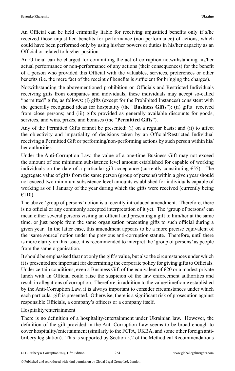An Official can be held criminally liable for receiving unjustified benefits only if s/he received those unjustified benefits for performance (non-performance) of actions, which could have been performed only by using his/her powers or duties in his/her capacity as an Official or related to his/her position.

An Official can be charged for committing the act of corruption notwithstanding his/her actual performance or non-performance of any actions (their consequences) for the benefit of a person who provided this Official with the valuables, services, preferences or other benefits (i.e. the mere fact of the receipt of benefits is sufficient for bringing the charges).

Notwithstanding the abovementioned prohibition on Officials and Restricted Individuals receiving gifts from companies and individuals, these individuals may accept so-called "permitted" gifts, as follows: (i) gifts (except for the Prohibited Instances) consistent with the generally recognised ideas for hospitality (the "**Business Gifts**"); (ii) gifts received from close persons; and (iii) gifts provided as generally available discounts for goods, services, and wins, prizes, and bonuses (the "**Permitted Gifts**").

Any of the Permitted Gifts cannot be presented: (i) on a regular basis; and (ii) to affect the objectivity and impartiality of decisions taken by an Official/Restricted Individual receiving a Permitted Gift or performing/non-performing actions by such person within his/ her authorities.

Under the Anti-Corruption Law, the value of a one-time Business Gift may not exceed the amount of one minimum subsistence level amount established for capable of working individuals on the date of a particular gift acceptance (currently constituting  $\epsilon$ 55). The aggregate value of gifts from the same person (group of persons) within a given year should not exceed two minimum subsistence level amounts established for individuals capable of working as of 1 January of the year during which the gifts were received (currently being €110).

The above 'group of persons' notion is a recently introduced amendment. Therefore, there is no official or any commonly accepted interpretation of it yet. The 'group of persons' can mean either several persons visiting an official and presenting a gift to him/her at the same time, or just people from the same organisation presenting gifts to such official during a given year. In the latter case, this amendment appears to be a more precise equivalent of the 'same source' notion under the previous anti-corruption statute. Therefore, until there is more clarity on this issue, it is recommended to interpret the 'group of persons' as people from the same organisation.

It should be emphasised that not only the gift's value, but also the circumstances under which it is presented are important for determining the corporate policy for giving gifts to Officials. Under certain conditions, even a Business Gift of the equivalent of  $\epsilon$ 20 or a modest private lunch with an Official could raise the suspicion of the law enforcement authorities and result in allegations of corruption. Therefore, in addition to the value/timeframe established by the Anti-Corruption Law, it is always important to consider circumstances under which each particular gift is presented. Otherwise, there is a significant risk of prosecution against responsible Officials, a company's officers or a company itself.

#### Hospitality/entertainment

There is no definition of a hospitality/entertainment under Ukrainian law. However, the definition of the gift provided in the Anti-Corruption Law seems to be broad enough to cover hospitality/entertainment (similarly to the FCPA, UKBA, and some other foreign antibribery legislation). This is supported by Section 5.2 of the Methodical Recommendations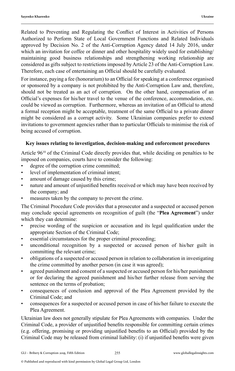Related to Preventing and Regulating the Conflict of Interest in Activities of Persons Authorized to Perform State of Local Government Functions and Related Individuals approved by Decision No. 2 of the Anti-Corruption Agency dated 14 July 2016, under which an invitation for coffee or dinner and other hospitality widely used for establishing/ maintaining good business relationships and strengthening working relationship are considered as gifts subject to restrictions imposed by Article 23 of the Anti-Corruption Law. Therefore, each case of entertaining an Official should be carefully evaluated.

For instance, paying a fee (honorarium) to an Official for speaking at a conference organised or sponsored by a company is not prohibited by the Anti-Corruption Law and, therefore, should not be treated as an act of corruption. On the other hand, compensation of an Official's expenses for his/her travel to the venue of the conference, accommodation, etc. could be viewed as corruption. Furthermore, whereas an invitation of an Official to attend a formal reception might be acceptable, treatment of the same Official to a private dinner might be considered as a corrupt activity. Some Ukrainian companies prefer to extend invitations to government agencies rather than to particular Officials to minimise the risk of being accused of corruption.

#### **Key issues relating to investigation, decision-making and enforcement procedures**

Article 96<sup>10</sup> of the Criminal Code directly provides that, while deciding on penalties to be imposed on companies, courts have to consider the following:

- degree of the corruption crime committed;
- level of implementation of criminal intent;
- amount of damage caused by this crime;
- nature and amount of unjustified benefits received or which may have been received by the company; and
- measures taken by the company to prevent the crime.

The Criminal Procedure Code provides that a prosecutor and a suspected or accused person may conclude special agreements on recognition of guilt (the "**Plea Agreement**") under which they can determine:

- precise wording of the suspicion or accusation and its legal qualification under the appropriate Section of the Criminal Code;
- essential circumstances for the proper criminal proceeding;
- unconditional recognition by a suspected or accused person of his/her guilt in committing the relevant crime;
- obligations of a suspected or accused person in relation to collaboration in investigating the crime committed by another person (in case it was agreed);
- agreed punishment and consent of a suspected or accused person for his/her punishment or for declaring the agreed punishment and his/her further release from serving the sentence on the terms of probation;
- consequences of conclusion and approval of the Plea Agreement provided by the Criminal Code; and
- consequences for a suspected or accused person in case of his/her failure to execute the Plea Agreement.

Ukrainian law does not generally stipulate for Plea Agreements with companies. Under the Criminal Code, a provider of unjustified benefits responsible for committing certain crimes (e.g. offering, promising or providing unjustified benefits to an Official) provided by the Criminal Code may be released from criminal liability: (i) if unjustified benefits were given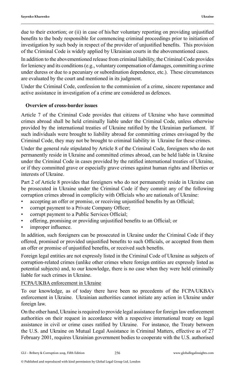due to their extortion; or (ii) in case of his/her voluntary reporting on providing unjustified benefits to the body responsible for commencing criminal proceedings prior to initiation of investigation by such body in respect of the provider of unjustified benefits. This provision of the Criminal Code is widely applied by Ukrainian courts in the abovementioned cases.

In addition to the abovementioned release from criminal liability, the Criminal Code provides for leniency and its conditions (e.g., voluntary compensation of damages, committing a crime under duress or due to a pecuniary or subordination dependence, etc.). These circumstances are evaluated by the court and mentioned in its judgment.

Under the Criminal Code, confession to the commission of a crime, sincere repentance and active assistance in investigation of a crime are considered as defences.

#### **Overview of cross-border issues**

Article 7 of the Criminal Code provides that citizens of Ukraine who have committed crimes abroad shall be held criminally liable under the Criminal Code, unless otherwise provided by the international treaties of Ukraine ratified by the Ukrainian parliament. If such individuals were brought to liability abroad for committing crimes envisaged by the Criminal Code, they may not be brought to criminal liability in Ukraine for these crimes.

Under the general rule stipulated by Article 8 of the Criminal Code, foreigners who do not permanently reside in Ukraine and committed crimes abroad, can be held liable in Ukraine under the Criminal Code in cases provided by the ratified international treaties of Ukraine, or if they committed grave or especially grave crimes against human rights and liberties or interests of Ukraine.

Part 2 of Article 8 provides that foreigners who do not permanently reside in Ukraine can be prosecuted in Ukraine under the Criminal Code if they commit any of the following corruption crimes abroad in complicity with Officials who are nationals of Ukraine:

- accepting an offer or promise, or receiving unjustified benefits by an Official;
- corrupt payment to a Private Company Officer;
- corrupt payment to a Public Services Official;
- offering, promising or providing unjustified benefits to an Official; or
- improper influence.

In addition, such foreigners can be prosecuted in Ukraine under the Criminal Code if they offered, promised or provided unjustified benefits to such Officials, or accepted from them an offer or promise of unjustified benefits, or received such benefits.

Foreign legal entities are not expressly listed in the Criminal Code of Ukraine as subjects of corruption-related crimes (unlike other crimes where foreign entities are expressly listed as potential subjects) and, to our knowledge, there is no case when they were held criminally liable for such crimes in Ukraine.

#### FCPA/UKBA enforcement in Ukraine

To our knowledge, as of today there have been no precedents of the FCPA/UKBA's enforcement in Ukraine. Ukrainian authorities cannot initiate any action in Ukraine under foreign law.

On the other hand, Ukraine is required to provide legal assistance for foreign law enforcement authorities on their request in accordance with a respective international treaty on legal assistance in civil or crime cases ratified by Ukraine. For instance, the Treaty between the U.S. and Ukraine on Mutual Legal Assistance in Criminal Matters, effective as of 27 February 2001, requires Ukrainian government bodies to cooperate with the U.S. authorised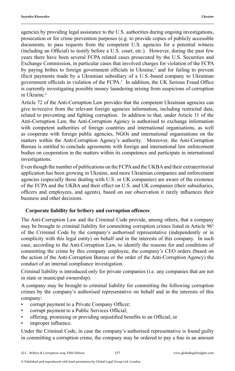agencies by providing legal assistance to the U.S. authorities during ongoing investigations, prosecution or for crime prevention purposes (e.g. to provide copies of publicly accessible documents, to pass requests from the competent U.S. agencies for a potential witness (including an Official) to testify before a U.S. court, etc.). However, during the past few years there have been several FCPA related cases prosecuted by the U.S. Securities and Exchange Commission, in particular cases that involved charges for violation of the FCPA by paying bribes to foreign government officials in Ukraine, $\lambda^2$  and for failing to prevent illicit payments made by a Ukrainian subsidiary of a U.S.-based company to Ukrainian government officials in violation of the  $FCPA$ <sup>3</sup> In addition, the UK Serious Fraud Office is currently investigating possible money laundering arising from suspicions of corruption in Ukraine.<sup>4</sup>

Article 72 of the Anti-Corruption Law provides that the competent Ukrainian agencies can give to/receive from the relevant foreign agencies information, including restricted data, related to preventing and fighting corruption. In addition to that, under Article 11 of the Anti-Corruption Law, the Anti-Corruption Agency is authorised to exchange information with competent authorities of foreign countries and international organisations, as well as cooperate with foreign public agencies, NGOs and international organisations on the matters within the Anti-Corruption Agency's authority. Moreover, the Anti-Corruption Bureau is entitled to conclude agreements with foreign and international law enforcement bodies on cooperation in the matters within its competence and participate in international investigations.

Even though the number of publications on the FCPA and the UKBA and their extraterritorial application has been growing in Ukraine, and more Ukrainian companies and enforcement agencies (especially those dealing with U.S. or UK companies) are aware of the existence of the FCPA and the UKBA and their effect on U.S. and UK companies (their subsidiaries, officers and employees, and agents), based on our observation it rarely influences their business and other decisions.

#### **Corporate liability for bribery and corruption offences**

The Anti-Corruption Law and the Criminal Code provide, among others, that a company may be brought to criminal liability for committing corruption crimes listed in Article 96<sup>3</sup> of the Criminal Code by the company's authorised representative (independently or in complicity with this legal entity) on behalf and in the interests of this company. In such case, according to the Anti-Corruption Law, to identify the reasons for and conditions of committing the crime by this company employee, the company's CEO orders (based on the action of the Anti-Corruption Bureau or the order of the Anti-Corruption Agency) the conduct of an internal compliance investigation.

Criminal liability is introduced only for private companies (i.e. any companies that are not in state or municipal ownership).

A company may be brought to criminal liability for committing the following corruption crimes by the company's authorised representative on behalf and in the interests of this company:

- corrupt payment to a Private Company Officer;
- corrupt payment to a Public Services Official;
- offering, promising or providing unjustified benefits to an Official; or
- improper influence.

Under the Criminal Code, in case the company's authorised representative is found guilty in committing a corruption crime, the company may be ordered to pay a fine in an amount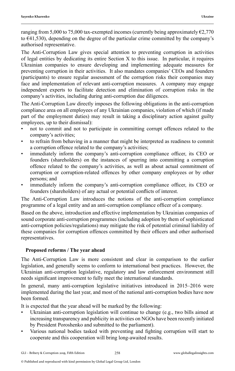ranging from 5,000 to 75,000 tax-exempted incomes (currently being approximately  $\epsilon$ 2,770 to €41,530), depending on the degree of the particular crime committed by the company's authorised representative.

The Anti-Corruption Law gives special attention to preventing corruption in activities of legal entities by dedicating its entire Section X to this issue. In particular, it requires Ukrainian companies to ensure developing and implementing adequate measures for preventing corruption in their activities. It also mandates companies' CEOs and founders (participants) to ensure regular assessment of the corruption risks their companies may face and implementation of relevant anti-corruption measures. A company may engage independent experts to facilitate detection and elimination of corruption risks in the company's activities, including during anti-corruption due diligences.

The Anti-Corruption Law directly imposes the following obligations in the anti-corruption compliance area on all employees of any Ukrainian companies, violation of which (if made part of the employment duties) may result in taking a disciplinary action against guilty employees, up to their dismissal):

- not to commit and not to participate in committing corrupt offences related to the company's activities;
- to refrain from behaving in a manner that might be interpreted as readiness to commit a corruption offence related to the company's activities;
- immediately inform the company's anti-corruption compliance officer, its CEO or founders (shareholders) on the instances of spurring into committing a corruption offence related to the company's activities, as well as about actual commitment of corruption or corruption-related offences by other company employees or by other persons; and
- immediately inform the company's anti-corruption compliance officer, its CEO or founders (shareholders) of any actual or potential conflicts of interest.

The Anti-Corruption Law introduces the notions of the anti-corruption compliance programme of a legal entity and an anti-corruption compliance officer of a company.

Based on the above, introduction and effective implementation by Ukrainian companies of sound corporate anti-corruption programmes (including adoption by them of sophisticated anti-corruption policies/regulations) may mitigate the risk of potential criminal liability of these companies for corruption offences committed by their officers and other authorised representatives.

#### **Proposed reforms / The year ahead**

The Anti-Corruption Law is more consistent and clear in comparison to the earlier legislation, and generally seems to conform to international best practices. However, the Ukrainian anti-corruption legislative, regulatory and law enforcement environment still needs significant improvement to fully meet the international standards.

In general, many anti-corruption legislative initiatives introduced in 2015–2016 were implemented during the last year, and most of the national anti-corruption bodies have now been formed.

It is expected that the year ahead will be marked by the following:

- Ukrainian anti-corruption legislation will continue to change  $(e.g., two bills aimed at$ increasing transparency and publicity in activities on NGOs have been recently initiated by President Poroshenko and submitted to the parliament).
- Various national bodies tasked with preventing and fighting corruption will start to cooperate and this cooperation will bring long-awaited results.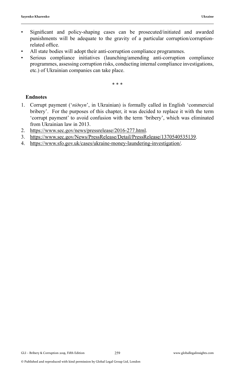- Significant and policy-shaping cases can be prosecuted/initiated and awarded punishments will be adequate to the gravity of a particular corruption/corruptionrelated office.
- All state bodies will adopt their anti-corruption compliance programmes.
- Serious compliance initiatives (launching/amending anti-corruption compliance programmes, assessing corruption risks, conducting internal compliance investigations, etc.) of Ukrainian companies can take place.

\* \* \*

#### **Endnotes**

- 1. Corrupt payment ('*підкуп*', in Ukrainian) is formally called in English 'commercial bribery'. For the purposes of this chapter, it was decided to replace it with the term 'corrupt payment' to avoid confusion with the term 'bribery', which was eliminated from Ukrainian law in 2013.
- 2. https://www.sec.gov/news/pressrelease/2016-277.html.
- 3. https://www.sec.gov/News/PressRelease/Detail/PressRelease/1370540535139.
- 4. https://www.sfo.gov.uk/cases/ukraine-money-laundering-investigation/.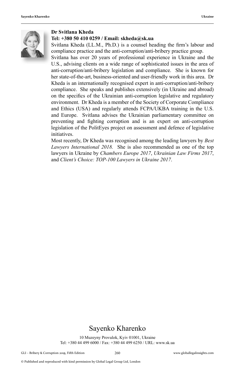

#### **Dr Svitlana Kheda**

#### **Tel: +380 50 410 0259 / Email: skheda@sk.ua**

Svitlana Kheda (LL.M., Ph.D.) is a counsel heading the firm's labour and compliance practice and the anti-corruption/anti-bribery practice group.

Svitlana has over 20 years of professional experience in Ukraine and the U.S., advising clients on a wide range of sophisticated issues in the area of anti-corruption/anti-bribery legislation and compliance. She is known for her state-of-the-art, business-oriented and user-friendly work in this area. Dr Kheda is an internationally recognised expert in anti-corruption/anti-bribery compliance. She speaks and publishes extensively (in Ukraine and abroad) on the specifics of the Ukrainian anti-corruption legislative and regulatory environment. Dr Kheda is a member of the Society of Corporate Compliance and Ethics (USA) and regularly attends FCPA/UKBA training in the U.S. and Europe. Svitlana advises the Ukrainian parliamentary committee on preventing and fighting corruption and is an expert on anti-corruption legislation of the PolitEyes project on assessment and defence of legislative initiatives.

Most recently, Dr Kheda was recognised among the leading lawyers by *Best Lawyers International 2018.* She is also recommended as one of the top lawyers in Ukraine by *Chambers Europe 2017*, *Ukrainian Law Firms 2017*, and *Client's Choice: TOP-100 Lawyers in Ukraine 2017*.

### Sayenko Kharenko

10 Muzeyny Provulok, Kyiv 01001, Ukraine Tel: +380 44 499 6000 / Fax: +380 44 499 6250 / URL: www.sk.ua